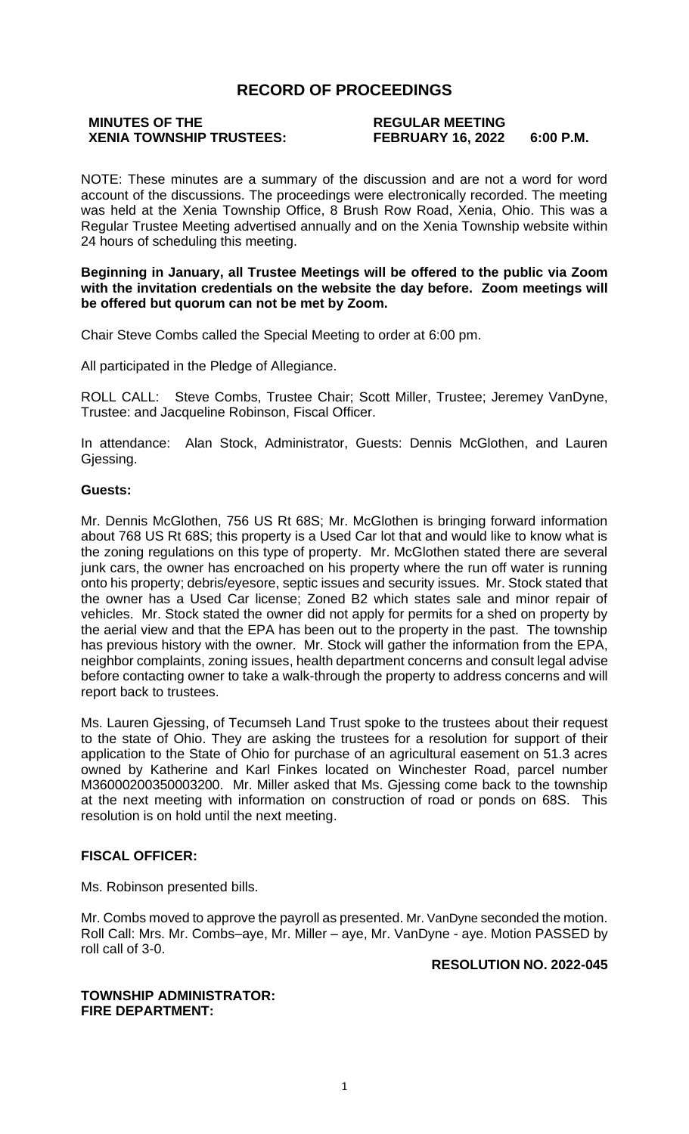### **RECORD OF PROCEEDINGS**

# **MINUTES OF THE REGULAR MEETING**

## **XENIA TOWNSHIP TRUSTEES: FEBRUARY 16, 2022 6:00 P.M.**

NOTE: These minutes are a summary of the discussion and are not a word for word account of the discussions. The proceedings were electronically recorded. The meeting was held at the Xenia Township Office, 8 Brush Row Road, Xenia, Ohio. This was a Regular Trustee Meeting advertised annually and on the Xenia Township website within 24 hours of scheduling this meeting.

#### **Beginning in January, all Trustee Meetings will be offered to the public via Zoom with the invitation credentials on the website the day before. Zoom meetings will be offered but quorum can not be met by Zoom.**

Chair Steve Combs called the Special Meeting to order at 6:00 pm.

All participated in the Pledge of Allegiance.

ROLL CALL: Steve Combs, Trustee Chair; Scott Miller, Trustee; Jeremey VanDyne, Trustee: and Jacqueline Robinson, Fiscal Officer.

In attendance: Alan Stock, Administrator, Guests: Dennis McGlothen, and Lauren Gjessing.

#### **Guests:**

Mr. Dennis McGlothen, 756 US Rt 68S; Mr. McGlothen is bringing forward information about 768 US Rt 68S; this property is a Used Car lot that and would like to know what is the zoning regulations on this type of property. Mr. McGlothen stated there are several junk cars, the owner has encroached on his property where the run off water is running onto his property; debris/eyesore, septic issues and security issues. Mr. Stock stated that the owner has a Used Car license; Zoned B2 which states sale and minor repair of vehicles. Mr. Stock stated the owner did not apply for permits for a shed on property by the aerial view and that the EPA has been out to the property in the past. The township has previous history with the owner. Mr. Stock will gather the information from the EPA, neighbor complaints, zoning issues, health department concerns and consult legal advise before contacting owner to take a walk-through the property to address concerns and will report back to trustees.

Ms. Lauren Gjessing, of Tecumseh Land Trust spoke to the trustees about their request to the state of Ohio. They are asking the trustees for a resolution for support of their application to the State of Ohio for purchase of an agricultural easement on 51.3 acres owned by Katherine and Karl Finkes located on Winchester Road, parcel number M36000200350003200. Mr. Miller asked that Ms. Gjessing come back to the township at the next meeting with information on construction of road or ponds on 68S. This resolution is on hold until the next meeting.

#### **FISCAL OFFICER:**

Ms. Robinson presented bills.

Mr. Combs moved to approve the payroll as presented. Mr. VanDyne seconded the motion. Roll Call: Mrs. Mr. Combs–aye, Mr. Miller – aye, Mr. VanDyne - aye. Motion PASSED by roll call of 3-0.

**RESOLUTION NO. 2022-045**

#### **TOWNSHIP ADMINISTRATOR: FIRE DEPARTMENT:**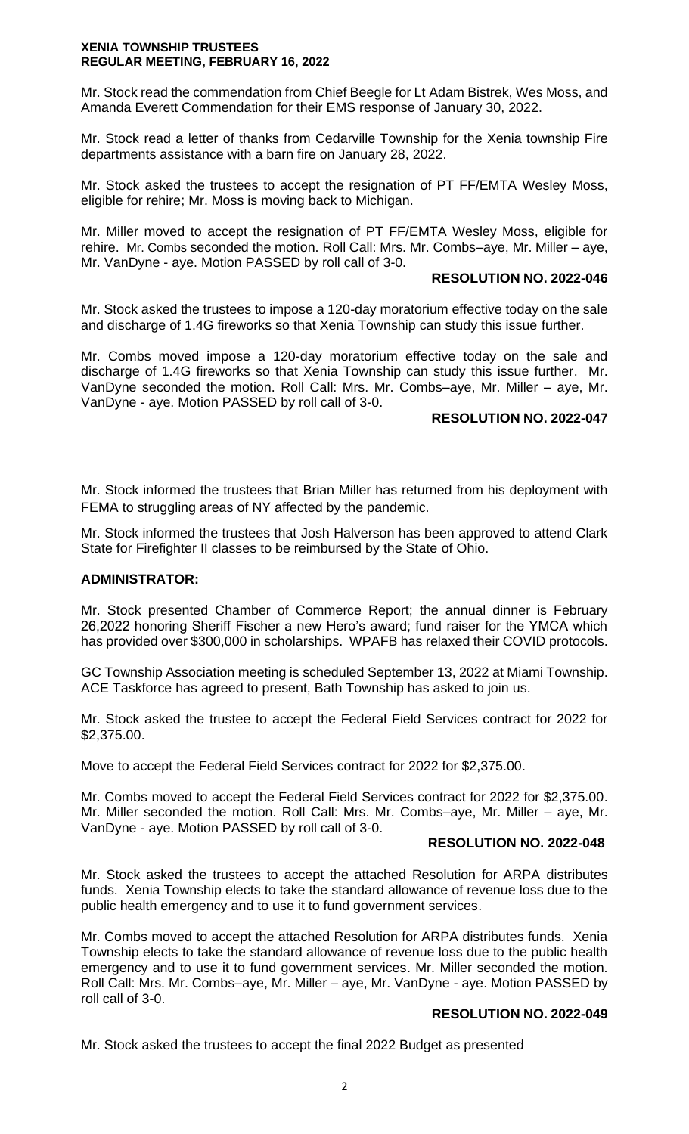#### **XENIA TOWNSHIP TRUSTEES REGULAR MEETING, FEBRUARY 16, 2022**

Mr. Stock read the commendation from Chief Beegle for Lt Adam Bistrek, Wes Moss, and Amanda Everett Commendation for their EMS response of January 30, 2022.

Mr. Stock read a letter of thanks from Cedarville Township for the Xenia township Fire departments assistance with a barn fire on January 28, 2022.

Mr. Stock asked the trustees to accept the resignation of PT FF/EMTA Wesley Moss, eligible for rehire; Mr. Moss is moving back to Michigan.

Mr. Miller moved to accept the resignation of PT FF/EMTA Wesley Moss, eligible for rehire. Mr. Combs seconded the motion. Roll Call: Mrs. Mr. Combs–aye, Mr. Miller – aye, Mr. VanDyne - aye. Motion PASSED by roll call of 3-0.

#### **RESOLUTION NO. 2022-046**

Mr. Stock asked the trustees to impose a 120-day moratorium effective today on the sale and discharge of 1.4G fireworks so that Xenia Township can study this issue further.

Mr. Combs moved impose a 120-day moratorium effective today on the sale and discharge of 1.4G fireworks so that Xenia Township can study this issue further. Mr. VanDyne seconded the motion. Roll Call: Mrs. Mr. Combs–aye, Mr. Miller – aye, Mr. VanDyne - aye. Motion PASSED by roll call of 3-0.

#### **RESOLUTION NO. 2022-047**

Mr. Stock informed the trustees that Brian Miller has returned from his deployment with FEMA to struggling areas of NY affected by the pandemic.

Mr. Stock informed the trustees that Josh Halverson has been approved to attend Clark State for Firefighter II classes to be reimbursed by the State of Ohio.

#### **ADMINISTRATOR:**

Mr. Stock presented Chamber of Commerce Report; the annual dinner is February 26,2022 honoring Sheriff Fischer a new Hero's award; fund raiser for the YMCA which has provided over \$300,000 in scholarships. WPAFB has relaxed their COVID protocols.

GC Township Association meeting is scheduled September 13, 2022 at Miami Township. ACE Taskforce has agreed to present, Bath Township has asked to join us.

Mr. Stock asked the trustee to accept the Federal Field Services contract for 2022 for \$2,375.00.

Move to accept the Federal Field Services contract for 2022 for \$2,375.00.

Mr. Combs moved to accept the Federal Field Services contract for 2022 for \$2,375.00. Mr. Miller seconded the motion. Roll Call: Mrs. Mr. Combs–aye, Mr. Miller – aye, Mr. VanDyne - aye. Motion PASSED by roll call of 3-0.

#### **RESOLUTION NO. 2022-048**

Mr. Stock asked the trustees to accept the attached Resolution for ARPA distributes funds. Xenia Township elects to take the standard allowance of revenue loss due to the public health emergency and to use it to fund government services.

Mr. Combs moved to accept the attached Resolution for ARPA distributes funds. Xenia Township elects to take the standard allowance of revenue loss due to the public health emergency and to use it to fund government services. Mr. Miller seconded the motion. Roll Call: Mrs. Mr. Combs–aye, Mr. Miller – aye, Mr. VanDyne - aye. Motion PASSED by roll call of 3-0.

#### **RESOLUTION NO. 2022-049**

Mr. Stock asked the trustees to accept the final 2022 Budget as presented